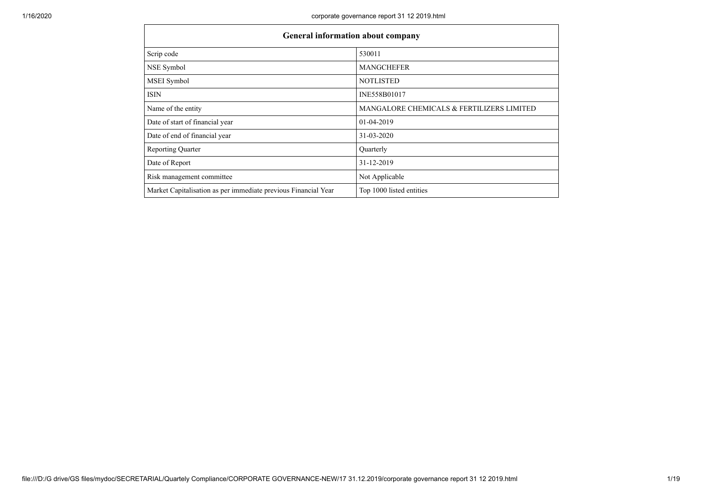|                                                                | <b>General information about company</b>  |
|----------------------------------------------------------------|-------------------------------------------|
| Scrip code                                                     | 530011                                    |
| NSE Symbol                                                     | <b>MANGCHEFER</b>                         |
| MSEI Symbol                                                    | <b>NOTLISTED</b>                          |
| <b>ISIN</b>                                                    | INE558B01017                              |
| Name of the entity                                             | MANGALORE CHEMICALS & FERTILIZERS LIMITED |
| Date of start of financial year                                | 01-04-2019                                |
| Date of end of financial year                                  | 31-03-2020                                |
| <b>Reporting Quarter</b>                                       | Quarterly                                 |
| Date of Report                                                 | 31-12-2019                                |
| Risk management committee                                      | Not Applicable                            |
| Market Capitalisation as per immediate previous Financial Year | Top 1000 listed entities                  |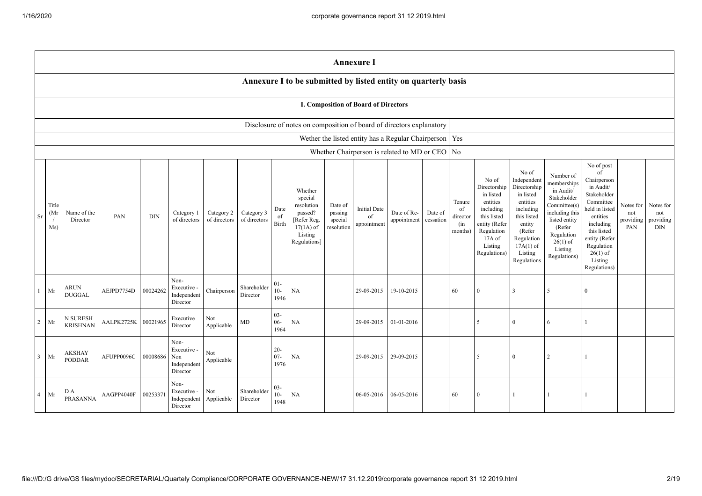|                                                                                                                                                                                                                                                                                                                                                                                                                                                                                                                                                                                                                                                                                                                                                                                                                                             | <b>Annexure I</b>                    |                                |            |                                                                                                                                                                          |                                                                                                                                                                                                            |                                      |                                             |                          |                                                                      |  |                                                          |            |    |                |              |                          |              |  |  |
|---------------------------------------------------------------------------------------------------------------------------------------------------------------------------------------------------------------------------------------------------------------------------------------------------------------------------------------------------------------------------------------------------------------------------------------------------------------------------------------------------------------------------------------------------------------------------------------------------------------------------------------------------------------------------------------------------------------------------------------------------------------------------------------------------------------------------------------------|--------------------------------------|--------------------------------|------------|--------------------------------------------------------------------------------------------------------------------------------------------------------------------------|------------------------------------------------------------------------------------------------------------------------------------------------------------------------------------------------------------|--------------------------------------|---------------------------------------------|--------------------------|----------------------------------------------------------------------|--|----------------------------------------------------------|------------|----|----------------|--------------|--------------------------|--------------|--|--|
|                                                                                                                                                                                                                                                                                                                                                                                                                                                                                                                                                                                                                                                                                                                                                                                                                                             |                                      |                                |            |                                                                                                                                                                          |                                                                                                                                                                                                            |                                      |                                             |                          | Annexure I to be submitted by listed entity on quarterly basis       |  |                                                          |            |    |                |              |                          |              |  |  |
|                                                                                                                                                                                                                                                                                                                                                                                                                                                                                                                                                                                                                                                                                                                                                                                                                                             | I. Composition of Board of Directors |                                |            |                                                                                                                                                                          |                                                                                                                                                                                                            |                                      |                                             |                          |                                                                      |  |                                                          |            |    |                |              |                          |              |  |  |
|                                                                                                                                                                                                                                                                                                                                                                                                                                                                                                                                                                                                                                                                                                                                                                                                                                             |                                      |                                |            |                                                                                                                                                                          |                                                                                                                                                                                                            |                                      |                                             |                          | Disclosure of notes on composition of board of directors explanatory |  |                                                          |            |    |                |              |                          |              |  |  |
|                                                                                                                                                                                                                                                                                                                                                                                                                                                                                                                                                                                                                                                                                                                                                                                                                                             |                                      |                                |            |                                                                                                                                                                          |                                                                                                                                                                                                            |                                      |                                             |                          |                                                                      |  | Wether the listed entity has a Regular Chairperson   Yes |            |    |                |              |                          |              |  |  |
|                                                                                                                                                                                                                                                                                                                                                                                                                                                                                                                                                                                                                                                                                                                                                                                                                                             |                                      |                                |            |                                                                                                                                                                          |                                                                                                                                                                                                            |                                      |                                             |                          |                                                                      |  | Whether Chairperson is related to MD or CEO   No         |            |    |                |              |                          |              |  |  |
| No of<br>Independent<br>No of<br>Directorship<br>Directorship<br>Whether<br>in listed<br>in listed<br>special<br>entities<br>entities<br>Tenure<br>Title<br>resolution<br>Date of<br><b>Initial Date</b><br>including<br>including<br>of<br>Date<br>Date of Re-<br>Date of<br>(Mr<br>Name of the<br>Category 2<br>Category 3<br>passed?<br>passing<br>Category 1<br>PAN<br><b>DIN</b><br>this listed<br>Sr<br>of<br>director<br>this listed<br>of<br>of directors<br>of directors<br>$\sqrt{ }$<br>of directors<br>[Refer Reg.<br>appointment<br>cessation<br>Director<br>special<br>Birth<br>entity (Refer<br>entity<br>appointment<br>(in<br>Ms)<br>$17(1A)$ of<br>resolution<br>months)<br>Regulation<br>(Refer<br>Listing<br>$17A$ of<br>Regulation<br>Regulations]<br>Listing<br>$17A(1)$ of<br>Regulations)<br>Listing<br>Regulations |                                      |                                |            | Number of<br>memberships<br>in Audit/<br>Stakeholder<br>Committee(s)<br>including this<br>listed entity<br>(Refer<br>Regulation<br>$26(1)$ of<br>Listing<br>Regulations) | No of post<br>of<br>Chairperson<br>in Audit/<br>Stakeholder<br>Committee<br>neld in listed<br>entities<br>including<br>this listed<br>entity (Refer<br>Regulation<br>$26(1)$ of<br>Listing<br>Regulations) | Notes for<br>not<br>providing<br>PAN | Notes for<br>not<br>providing<br><b>DIN</b> |                          |                                                                      |  |                                                          |            |    |                |              |                          |              |  |  |
|                                                                                                                                                                                                                                                                                                                                                                                                                                                                                                                                                                                                                                                                                                                                                                                                                                             | Mr                                   | <b>ARUN</b><br><b>DUGGAL</b>   | AEJPD7754D | 00024262                                                                                                                                                                 | Non-<br>Executive -<br>Independent<br>Director                                                                                                                                                             | Chairperson                          | Shareholder<br>Director                     | $01 -$<br>$10-$<br>1946  | NA                                                                   |  | 29-09-2015                                               | 19-10-2015 | 60 | $\Omega$       | 3            | $\overline{\phantom{0}}$ | $\Omega$     |  |  |
| 2                                                                                                                                                                                                                                                                                                                                                                                                                                                                                                                                                                                                                                                                                                                                                                                                                                           | Mr                                   | N SURESH<br><b>KRISHNAN</b>    | AALPK2725K | 00021965                                                                                                                                                                 | Executive<br>Director                                                                                                                                                                                      | Not<br>Applicable                    | MD                                          | $03 -$<br>$06 -$<br>1964 | <b>NA</b>                                                            |  | 29-09-2015                                               | 01-01-2016 |    | 5              | $\mathbf{0}$ | 6                        |              |  |  |
| $\mathbf{3}$                                                                                                                                                                                                                                                                                                                                                                                                                                                                                                                                                                                                                                                                                                                                                                                                                                | Mr                                   | <b>AKSHAY</b><br><b>PODDAR</b> | AFUPP0096C | 00008686                                                                                                                                                                 | Non-<br>Executive -<br>Non<br>Independent<br>Director                                                                                                                                                      | Not<br>Applicable                    |                                             | $20 -$<br>$07 -$<br>1976 | NA                                                                   |  | 29-09-2015                                               | 29-09-2015 |    | $\overline{5}$ | $\mathbf{0}$ | 2                        | $\mathbf{1}$ |  |  |
| 4                                                                                                                                                                                                                                                                                                                                                                                                                                                                                                                                                                                                                                                                                                                                                                                                                                           | Mr                                   | D A<br>PRASANNA                | AAGPP4040F | 0025337                                                                                                                                                                  | Non-<br>Executive -<br>Independent<br>Director                                                                                                                                                             | Not<br>Applicable                    | Shareholder<br>Director                     | $03 -$<br>$10-$<br>1948  | <b>NA</b>                                                            |  | 06-05-2016                                               | 06-05-2016 | 60 | $\Omega$       | $\mathbf{1}$ |                          |              |  |  |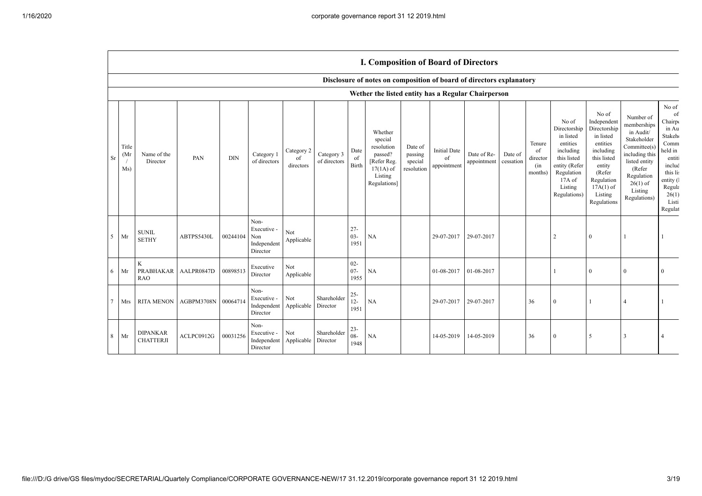|             |                     |                                               |                     |            |                                                       |                               |                            |                          | <b>I. Composition of Board of Directors</b>                                                          |                                             |                                          |                            |                      |                                            |                                                                                                                                                |                                                                                                                                                                      |                                                                                                                                                                          |                                                                                                                                                             |
|-------------|---------------------|-----------------------------------------------|---------------------|------------|-------------------------------------------------------|-------------------------------|----------------------------|--------------------------|------------------------------------------------------------------------------------------------------|---------------------------------------------|------------------------------------------|----------------------------|----------------------|--------------------------------------------|------------------------------------------------------------------------------------------------------------------------------------------------|----------------------------------------------------------------------------------------------------------------------------------------------------------------------|--------------------------------------------------------------------------------------------------------------------------------------------------------------------------|-------------------------------------------------------------------------------------------------------------------------------------------------------------|
|             |                     |                                               |                     |            |                                                       |                               |                            |                          | Disclosure of notes on composition of board of directors explanatory                                 |                                             |                                          |                            |                      |                                            |                                                                                                                                                |                                                                                                                                                                      |                                                                                                                                                                          |                                                                                                                                                             |
|             |                     |                                               |                     |            |                                                       |                               |                            |                          | Wether the listed entity has a Regular Chairperson                                                   |                                             |                                          |                            |                      |                                            |                                                                                                                                                |                                                                                                                                                                      |                                                                                                                                                                          |                                                                                                                                                             |
| Sr          | Title<br>(Mı<br>Ms) | Name of the<br>Director                       | PAN                 | <b>DIN</b> | Category 1<br>of directors                            | Category 2<br>of<br>directors | Category 3<br>of directors | Date<br>of<br>Birth      | Whether<br>special<br>resolution<br>passed?<br>[Refer Reg.<br>$17(1A)$ of<br>Listing<br>Regulations] | Date of<br>passing<br>special<br>resolution | <b>Initial Date</b><br>of<br>appointment | Date of Re-<br>appointment | Date of<br>cessation | Tenure<br>of<br>director<br>(in<br>months) | No of<br>Directorship<br>in listed<br>entities<br>including<br>this listed<br>entity (Refer<br>Regulation<br>17A of<br>Listing<br>Regulations) | No of<br>Independent<br>Directorship<br>in listed<br>entities<br>including<br>this listed<br>entity<br>(Refer<br>Regulation<br>$17A(1)$ of<br>Listing<br>Regulations | Number of<br>memberships<br>in Audit/<br>Stakeholder<br>Committee(s)<br>including this<br>listed entity<br>(Refer<br>Regulation<br>$26(1)$ of<br>Listing<br>Regulations) | No of<br>of<br>Chairp<br>in Au<br>Stakeh <sub>®</sub><br>Comm<br>held in<br>entiti<br>includ<br>this lis<br>entity (<br>Regula<br>26(1)<br>Listi<br>Regulat |
| $5^{\circ}$ | Mr                  | <b>SUNIL</b><br><b>SETHY</b>                  | ABTPS5430L          | 00244104   | Non-<br>Executive -<br>Non<br>Independent<br>Director | Not<br>Applicable             |                            | $27 -$<br>$03 -$<br>1951 | NA                                                                                                   |                                             | 29-07-2017                               | 29-07-2017                 |                      |                                            | $\overline{c}$                                                                                                                                 | $\theta$                                                                                                                                                             |                                                                                                                                                                          |                                                                                                                                                             |
| 6           | Mr                  | $\mathbf K$<br><b>PRABHAKAR</b><br><b>RAO</b> | AALPR0847D          | 00898513   | Executive<br>Director                                 | Not<br>Applicable             |                            | $02 -$<br>$07 -$<br>1955 | NA                                                                                                   |                                             | 01-08-2017                               | 01-08-2017                 |                      |                                            |                                                                                                                                                | $\theta$                                                                                                                                                             | $\theta$                                                                                                                                                                 | $\Omega$                                                                                                                                                    |
| $\tau$      | Mrs                 | <b>RITA MENON</b>                             | AGBPM3708N 00064714 |            | Non-<br>Executive -<br>Independent<br>Director        | Not<br>Applicable             | Shareholder<br>Director    | $25 - 12 - 12$<br>1951   | NA                                                                                                   |                                             | 29-07-2017                               | 29-07-2017                 |                      | 36                                         | $\Omega$                                                                                                                                       |                                                                                                                                                                      | $\overline{4}$                                                                                                                                                           |                                                                                                                                                             |
| 8           | Mr                  | <b>DIPANKAR</b><br><b>CHATTERJI</b>           | ACLPC0912G          | 00031256   | Non-<br>Executive -<br>Independent<br>Director        | Not<br>Applicable             | Shareholder<br>Director    | $23 -$<br>$08 -$<br>1948 | NA                                                                                                   |                                             | 14-05-2019                               | 14-05-2019                 |                      | 36                                         | $\Omega$                                                                                                                                       | .5                                                                                                                                                                   | 3                                                                                                                                                                        |                                                                                                                                                             |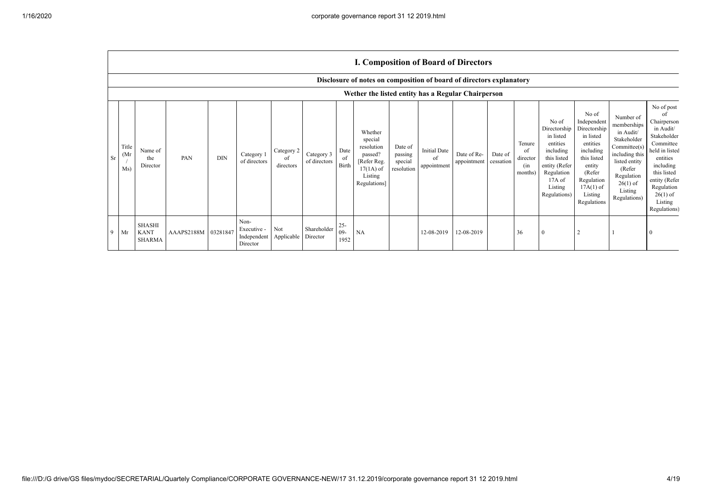|           |                      |                                                                      |            |            |                                                           |                               |                            |                          |                                                                                                      |                                             |                                          | <b>I. Composition of Board of Directors</b> |                      |                                            |                                                                                                                                                |                                                                                                                                                                      |                                                                                                                                                                          |                                                                                                                                                                                                            |
|-----------|----------------------|----------------------------------------------------------------------|------------|------------|-----------------------------------------------------------|-------------------------------|----------------------------|--------------------------|------------------------------------------------------------------------------------------------------|---------------------------------------------|------------------------------------------|---------------------------------------------|----------------------|--------------------------------------------|------------------------------------------------------------------------------------------------------------------------------------------------|----------------------------------------------------------------------------------------------------------------------------------------------------------------------|--------------------------------------------------------------------------------------------------------------------------------------------------------------------------|------------------------------------------------------------------------------------------------------------------------------------------------------------------------------------------------------------|
|           |                      | Disclosure of notes on composition of board of directors explanatory |            |            |                                                           |                               |                            |                          |                                                                                                      |                                             |                                          |                                             |                      |                                            |                                                                                                                                                |                                                                                                                                                                      |                                                                                                                                                                          |                                                                                                                                                                                                            |
|           |                      | Wether the listed entity has a Regular Chairperson                   |            |            |                                                           |                               |                            |                          |                                                                                                      |                                             |                                          |                                             |                      |                                            |                                                                                                                                                |                                                                                                                                                                      |                                                                                                                                                                          |                                                                                                                                                                                                            |
| <b>Sr</b> | Title<br>(Mr)<br>Ms) | Name of<br>the<br>Director                                           | PAN        | <b>DIN</b> | Category 1<br>of directors                                | Category 2<br>of<br>directors | Category 3<br>of directors | Date<br>of<br>Birth      | Whether<br>special<br>resolution<br>passed?<br>[Refer Reg.<br>$17(1A)$ of<br>Listing<br>Regulations] | Date of<br>passing<br>special<br>resolution | <b>Initial Date</b><br>of<br>appointment | Date of Re-<br>appointment                  | Date of<br>cessation | Tenure<br>of<br>director<br>(in<br>months) | No of<br>Directorship<br>in listed<br>entities<br>including<br>this listed<br>entity (Refer<br>Regulation<br>17A of<br>Listing<br>Regulations) | No of<br>Independent<br>Directorship<br>in listed<br>entities<br>including<br>this listed<br>entity<br>(Refer<br>Regulation<br>$17A(1)$ of<br>Listing<br>Regulations | Number of<br>memberships<br>in Audit/<br>Stakeholder<br>Committee(s)<br>including this<br>listed entity<br>(Refer<br>Regulation<br>$26(1)$ of<br>Listing<br>Regulations) | No of post<br>of<br>Chairperson<br>in Audit/<br>Stakeholder<br>Committee<br>held in listed<br>entities<br>including<br>this listed<br>entity (Refer<br>Regulation<br>$26(1)$ of<br>Listing<br>Regulations) |
| 9         | Mr                   | <b>SHASHI</b><br><b>KANT</b><br><b>SHARMA</b>                        | AAAPS2188M | 03281847   | Non-<br>Executive -<br>Independent Applicable<br>Director | Not                           | Shareholder<br>Director    | $25 -$<br>$09 -$<br>1952 | <b>NA</b>                                                                                            |                                             | 12-08-2019                               | 12-08-2019                                  |                      | 36                                         | $\Omega$                                                                                                                                       |                                                                                                                                                                      |                                                                                                                                                                          |                                                                                                                                                                                                            |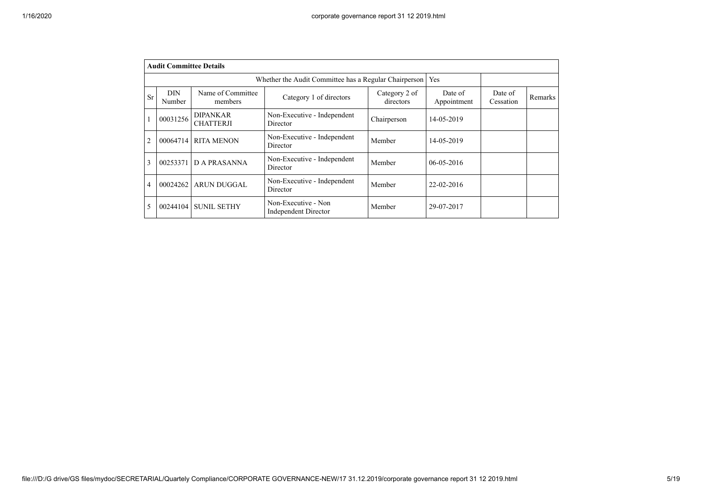|                | <b>Audit Committee Details</b> |                                     |                                                       |                            |                        |                      |         |
|----------------|--------------------------------|-------------------------------------|-------------------------------------------------------|----------------------------|------------------------|----------------------|---------|
|                |                                |                                     | Whether the Audit Committee has a Regular Chairperson |                            | Yes                    |                      |         |
| Sr             | <b>DIN</b><br>Number           | Name of Committee<br>members        | Category 1 of directors                               | Category 2 of<br>directors | Date of<br>Appointment | Date of<br>Cessation | Remarks |
|                | 00031256                       | <b>DIPANKAR</b><br><b>CHATTERJI</b> | Non-Executive - Independent<br>Director               | Chairperson                | 14-05-2019             |                      |         |
| $\overline{2}$ | 00064714                       | <b>RITA MENON</b>                   | Non-Executive - Independent<br>Director               | Member                     | 14-05-2019             |                      |         |
| 3              | 00253371                       | <b>DA PRASANNA</b>                  | Non-Executive - Independent<br>Director               | Member                     | 06-05-2016             |                      |         |
| 4              | 00024262                       | <b>ARUN DUGGAL</b>                  | Non-Executive - Independent<br>Director               | Member                     | 22-02-2016             |                      |         |
| 5              | 00244104                       | <b>SUNIL SETHY</b>                  | Non-Executive - Non<br><b>Independent Director</b>    | Member                     | 29-07-2017             |                      |         |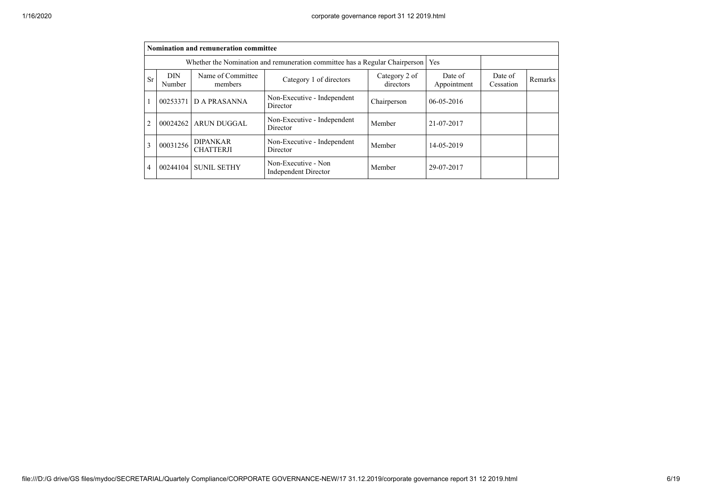|    | Nomination and remuneration committee                                                                         |                                     |                                             |             |                        |                      |         |  |  |  |
|----|---------------------------------------------------------------------------------------------------------------|-------------------------------------|---------------------------------------------|-------------|------------------------|----------------------|---------|--|--|--|
|    | Whether the Nomination and remuneration committee has a Regular Chairperson                                   |                                     |                                             |             |                        |                      |         |  |  |  |
| Sr | Name of Committee<br><b>DIN</b><br>Category 2 of<br>Category 1 of directors<br>directors<br>Number<br>members |                                     |                                             |             | Date of<br>Appointment | Date of<br>Cessation | Remarks |  |  |  |
|    | 00253371                                                                                                      | D A PRASANNA                        | Non-Executive - Independent<br>Director     | Chairperson | $06 - 05 - 2016$       |                      |         |  |  |  |
|    | 00024262                                                                                                      | <b>ARUN DUGGAL</b>                  | Non-Executive - Independent<br>Director     | Member      | 21-07-2017             |                      |         |  |  |  |
| 3  | 00031256                                                                                                      | <b>DIPANKAR</b><br><b>CHATTERJI</b> | Non-Executive - Independent<br>Director     | Member      | 14-05-2019             |                      |         |  |  |  |
| 4  | 00244104                                                                                                      | <b>SUNIL SETHY</b>                  | Non-Executive - Non<br>Independent Director | Member      | 29-07-2017             |                      |         |  |  |  |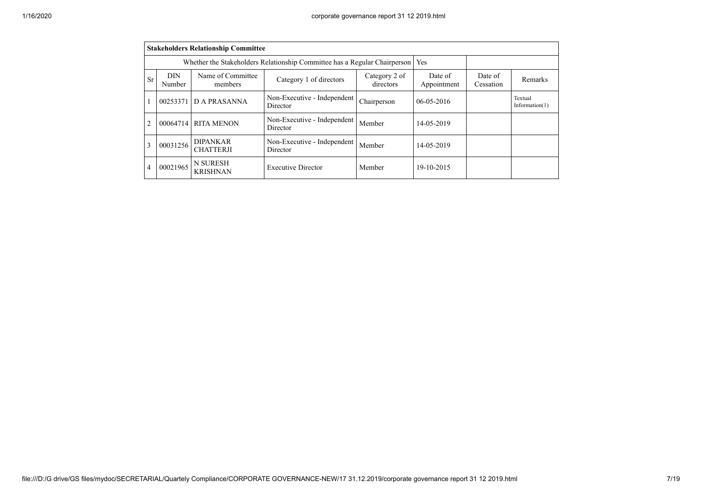|                | <b>Stakeholders Relationship Committee</b>                                                                    |                                                                           |                                         |             |                        |                      |                              |  |  |  |
|----------------|---------------------------------------------------------------------------------------------------------------|---------------------------------------------------------------------------|-----------------------------------------|-------------|------------------------|----------------------|------------------------------|--|--|--|
|                |                                                                                                               | Whether the Stakeholders Relationship Committee has a Regular Chairperson | Yes                                     |             |                        |                      |                              |  |  |  |
| <b>Sr</b>      | Name of Committee<br><b>DIN</b><br>Category 2 of<br>Category 1 of directors<br>directors<br>Number<br>members |                                                                           |                                         |             | Date of<br>Appointment | Date of<br>Cessation | Remarks                      |  |  |  |
|                | 00253371                                                                                                      | <b>DA PRASANNA</b>                                                        | Non-Executive - Independent<br>Director | Chairperson | $06 - 05 - 2016$       |                      | Textual<br>Information $(1)$ |  |  |  |
| $\overline{2}$ | 00064714                                                                                                      | <b>RITA MENON</b>                                                         | Non-Executive - Independent<br>Director | Member      | 14-05-2019             |                      |                              |  |  |  |
| 3              | 00031256                                                                                                      | <b>DIPANKAR</b><br><b>CHATTERJI</b>                                       | Non-Executive - Independent<br>Director | Member      | 14-05-2019             |                      |                              |  |  |  |
| 4              | 00021965                                                                                                      | <b>N SURESH</b><br><b>KRISHNAN</b>                                        | <b>Executive Director</b>               | Member      | 19-10-2015             |                      |                              |  |  |  |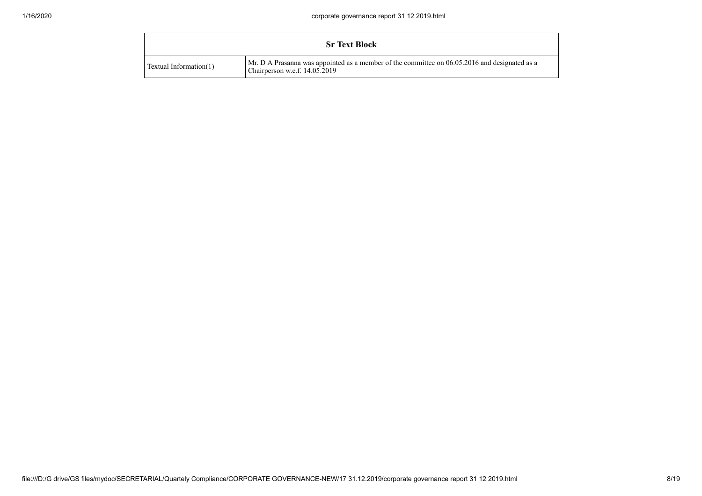|                        | <b>Sr Text Block</b>                                                                                                           |
|------------------------|--------------------------------------------------------------------------------------------------------------------------------|
| Textual Information(1) | Mr. D A Prasanna was appointed as a member of the committee on 06.05.2016 and designated as a<br>Chairperson w.e.f. 14.05.2019 |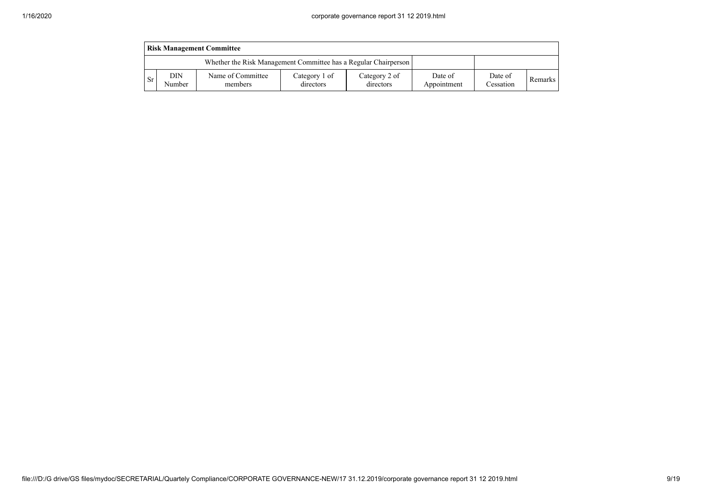|      | <b>Risk Management Committee</b>                                |                              |                            |                            |                        |                      |         |  |  |  |  |
|------|-----------------------------------------------------------------|------------------------------|----------------------------|----------------------------|------------------------|----------------------|---------|--|--|--|--|
|      | Whether the Risk Management Committee has a Regular Chairperson |                              |                            |                            |                        |                      |         |  |  |  |  |
| l Sr | <b>DIN</b><br>Number                                            | Name of Committee<br>members | Category 1 of<br>directors | Category 2 of<br>directors | Date of<br>Appointment | Date of<br>Cessation | Remarks |  |  |  |  |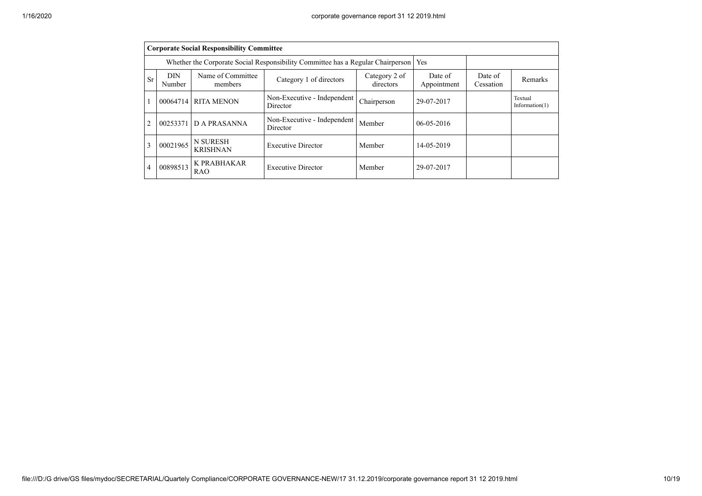|    | <b>Corporate Social Responsibility Committee</b>                                                              |                                                                                 |                                         |             |                        |                      |                              |  |  |  |
|----|---------------------------------------------------------------------------------------------------------------|---------------------------------------------------------------------------------|-----------------------------------------|-------------|------------------------|----------------------|------------------------------|--|--|--|
|    |                                                                                                               | Whether the Corporate Social Responsibility Committee has a Regular Chairperson | Yes                                     |             |                        |                      |                              |  |  |  |
| Sr | Name of Committee<br><b>DIN</b><br>Category 2 of<br>Category 1 of directors<br>directors<br>Number<br>members |                                                                                 |                                         |             | Date of<br>Appointment | Date of<br>Cessation | Remarks                      |  |  |  |
|    | 00064714                                                                                                      | <b>RITA MENON</b>                                                               | Non-Executive - Independent<br>Director | Chairperson | 29-07-2017             |                      | Textual<br>Information $(1)$ |  |  |  |
| 2  | 00253371                                                                                                      | D A PRASANNA                                                                    | Non-Executive - Independent<br>Director | Member      | $06 - 05 - 2016$       |                      |                              |  |  |  |
| 3  | 00021965                                                                                                      | <b>N SURESH</b><br><b>KRISHNAN</b>                                              | <b>Executive Director</b>               | Member      | 14-05-2019             |                      |                              |  |  |  |
| 4  | 00898513                                                                                                      | K PRABHAKAR<br>RAO                                                              | <b>Executive Director</b>               | Member      | 29-07-2017             |                      |                              |  |  |  |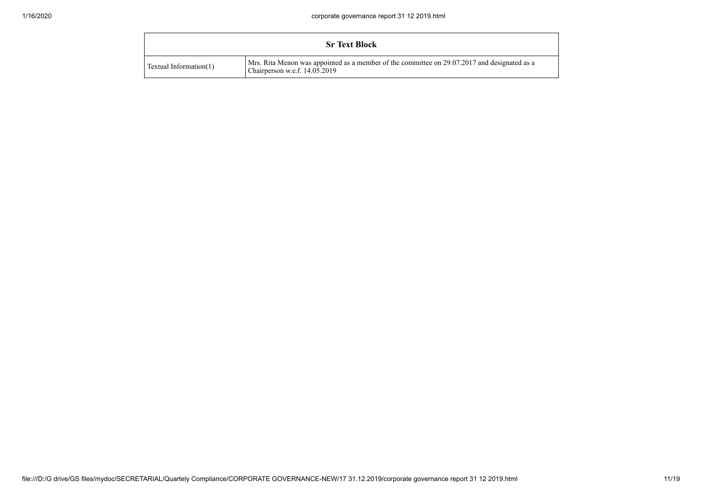|                        | <b>Sr Text Block</b>                                                                                                          |
|------------------------|-------------------------------------------------------------------------------------------------------------------------------|
| Textual Information(1) | Mrs. Rita Menon was appointed as a member of the committee on 29.07.2017 and designated as a<br>Chairperson w.e.f. 14.05.2019 |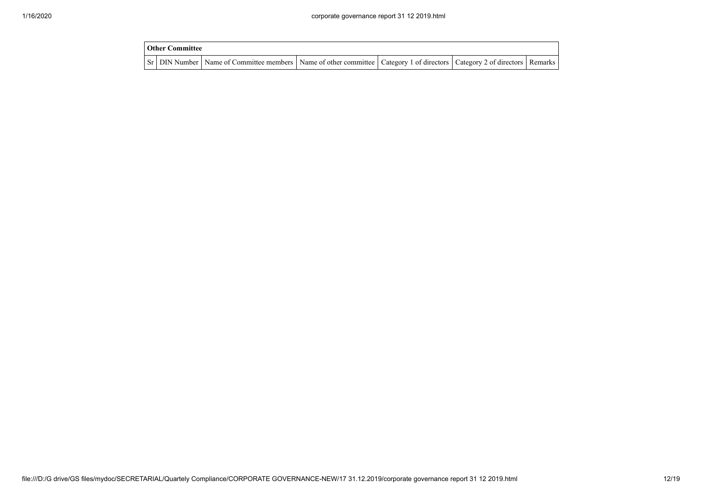| <b>Other Committee</b> |                                                                                                                                     |  |  |
|------------------------|-------------------------------------------------------------------------------------------------------------------------------------|--|--|
|                        | Sr   DIN Number   Name of Committee members   Name of other committee   Category 1 of directors   Category 2 of directors   Remarks |  |  |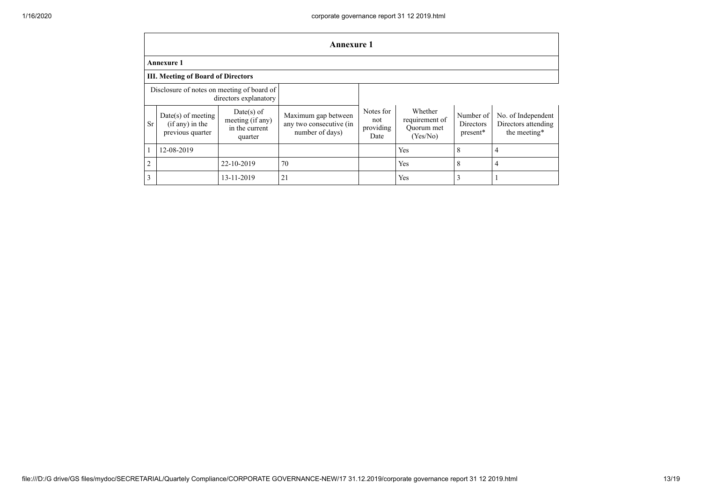|                                                                     | <b>Annexure 1</b>                                           |                                                               |                                                                   |                                       |                                                     |                                    |                                                           |
|---------------------------------------------------------------------|-------------------------------------------------------------|---------------------------------------------------------------|-------------------------------------------------------------------|---------------------------------------|-----------------------------------------------------|------------------------------------|-----------------------------------------------------------|
| <b>Annexure 1</b>                                                   |                                                             |                                                               |                                                                   |                                       |                                                     |                                    |                                                           |
| <b>III. Meeting of Board of Directors</b>                           |                                                             |                                                               |                                                                   |                                       |                                                     |                                    |                                                           |
| Disclosure of notes on meeting of board of<br>directors explanatory |                                                             |                                                               |                                                                   |                                       |                                                     |                                    |                                                           |
| <b>Sr</b>                                                           | $Date(s)$ of meeting<br>(if any) in the<br>previous quarter | $Date(s)$ of<br>meeting (if any)<br>in the current<br>quarter | Maximum gap between<br>any two consecutive (in<br>number of days) | Notes for<br>not<br>providing<br>Date | Whether<br>requirement of<br>Ouorum met<br>(Yes/No) | Number of<br>Directors<br>present* | No. of Independent<br>Directors attending<br>the meeting* |
|                                                                     | 12-08-2019                                                  |                                                               |                                                                   |                                       | Yes                                                 | 8                                  | 4                                                         |
| $\overline{2}$                                                      |                                                             | 22-10-2019                                                    | 70                                                                |                                       | Yes                                                 | 8                                  | 4                                                         |
| 3                                                                   |                                                             | 13-11-2019                                                    | 21                                                                |                                       | Yes                                                 | 3                                  |                                                           |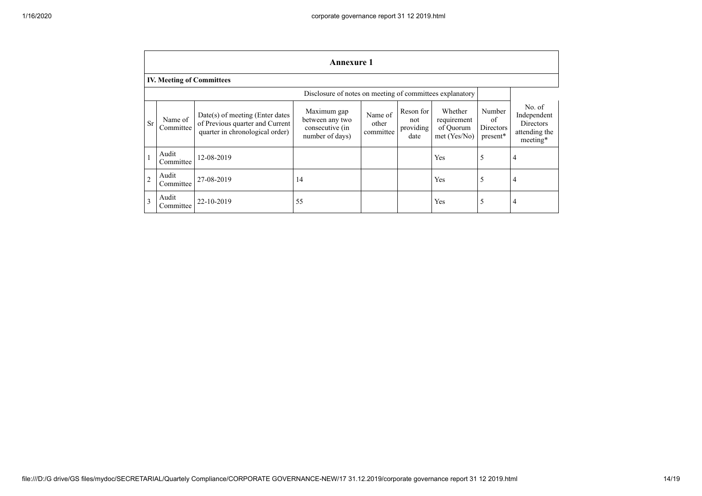|                | <b>Annexure 1</b>                                        |                                                                                                         |                                                                      |                               |                                       |                                                     |                                       |                                                                        |
|----------------|----------------------------------------------------------|---------------------------------------------------------------------------------------------------------|----------------------------------------------------------------------|-------------------------------|---------------------------------------|-----------------------------------------------------|---------------------------------------|------------------------------------------------------------------------|
|                | <b>IV. Meeting of Committees</b>                         |                                                                                                         |                                                                      |                               |                                       |                                                     |                                       |                                                                        |
|                | Disclosure of notes on meeting of committees explanatory |                                                                                                         |                                                                      |                               |                                       |                                                     |                                       |                                                                        |
| <b>Sr</b>      | Name of<br>Committee                                     | $Date(s)$ of meeting (Enter dates<br>of Previous quarter and Current<br>quarter in chronological order) | Maximum gap<br>between any two<br>consecutive (in<br>number of days) | Name of<br>other<br>committee | Reson for<br>not<br>providing<br>date | Whether<br>requirement<br>of Quorum<br>met (Yes/No) | Number<br>of<br>Directors<br>present* | No. of<br>Independent<br><b>Directors</b><br>attending the<br>meeting* |
| $\mathbf{1}$   | Audit<br>Committee                                       | 12-08-2019                                                                                              |                                                                      |                               |                                       | Yes                                                 | 5                                     | 4                                                                      |
| $\overline{2}$ | Audit<br>Committee                                       | 27-08-2019                                                                                              | 14                                                                   |                               |                                       | Yes                                                 | 5                                     | 4                                                                      |
| 3              | Audit<br>Committee                                       | 22-10-2019                                                                                              | 55                                                                   |                               |                                       | Yes                                                 | 5                                     | 4                                                                      |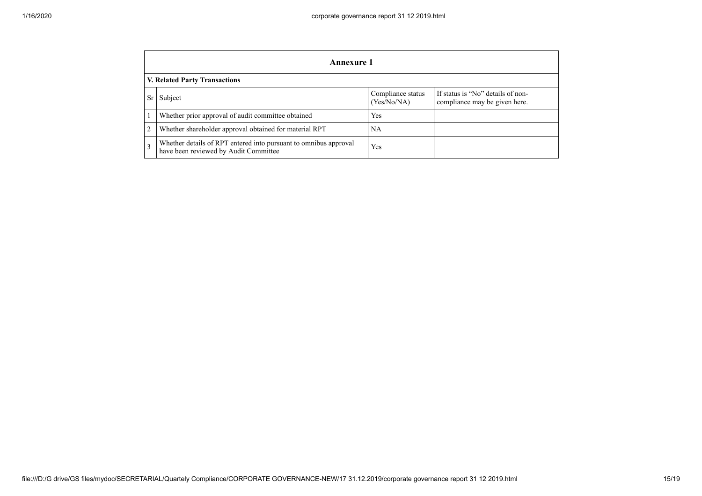|                | Annexure 1                                                                                                |                                  |                                                                    |  |  |
|----------------|-----------------------------------------------------------------------------------------------------------|----------------------------------|--------------------------------------------------------------------|--|--|
|                | V. Related Party Transactions                                                                             |                                  |                                                                    |  |  |
|                | Subject                                                                                                   | Compliance status<br>(Yes/No/NA) | If status is "No" details of non-<br>compliance may be given here. |  |  |
|                | Whether prior approval of audit committee obtained                                                        | Yes                              |                                                                    |  |  |
| 2              | Whether shareholder approval obtained for material RPT                                                    | NA                               |                                                                    |  |  |
| $\overline{3}$ | Whether details of RPT entered into pursuant to omnibus approval<br>have been reviewed by Audit Committee | Yes                              |                                                                    |  |  |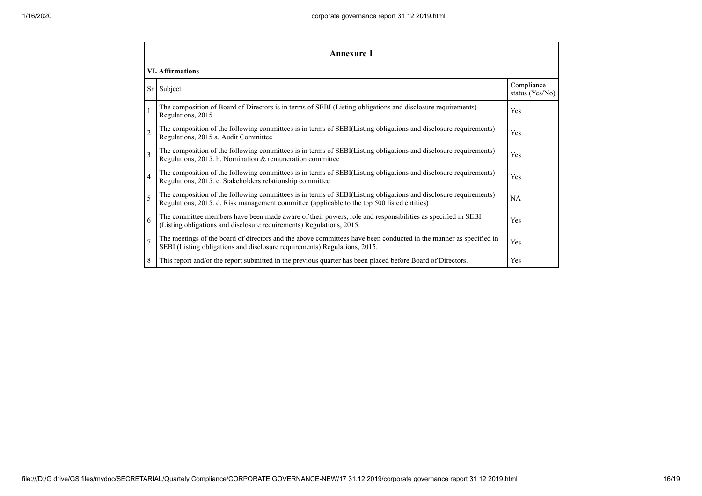|                | <b>Annexure 1</b>                                                                                                                                                                                               |                               |  |  |  |  |
|----------------|-----------------------------------------------------------------------------------------------------------------------------------------------------------------------------------------------------------------|-------------------------------|--|--|--|--|
|                | <b>VI. Affirmations</b>                                                                                                                                                                                         |                               |  |  |  |  |
|                | Sr Subject                                                                                                                                                                                                      | Compliance<br>status (Yes/No) |  |  |  |  |
|                | The composition of Board of Directors is in terms of SEBI (Listing obligations and disclosure requirements)<br>Regulations, 2015                                                                                | Yes                           |  |  |  |  |
| $\overline{2}$ | The composition of the following committees is in terms of SEBI(Listing obligations and disclosure requirements)<br>Regulations, 2015 a. Audit Committee                                                        | Yes                           |  |  |  |  |
| 3              | The composition of the following committees is in terms of SEBI(Listing obligations and disclosure requirements)<br>Regulations, 2015. b. Nomination & remuneration committee                                   | Yes                           |  |  |  |  |
| $\overline{4}$ | The composition of the following committees is in terms of SEBI(Listing obligations and disclosure requirements)<br>Regulations, 2015. c. Stakeholders relationship committee                                   | Yes                           |  |  |  |  |
| 5              | The composition of the following committees is in terms of SEBI(Listing obligations and disclosure requirements)<br>Regulations, 2015. d. Risk management committee (applicable to the top 500 listed entities) | <b>NA</b>                     |  |  |  |  |
| 6              | The committee members have been made aware of their powers, role and responsibilities as specified in SEBI<br>(Listing obligations and disclosure requirements) Regulations, 2015.                              | Yes                           |  |  |  |  |
| $\overline{7}$ | The meetings of the board of directors and the above committees have been conducted in the manner as specified in<br>SEBI (Listing obligations and disclosure requirements) Regulations, 2015.                  | Yes                           |  |  |  |  |
| 8              | This report and/or the report submitted in the previous quarter has been placed before Board of Directors.                                                                                                      | Yes                           |  |  |  |  |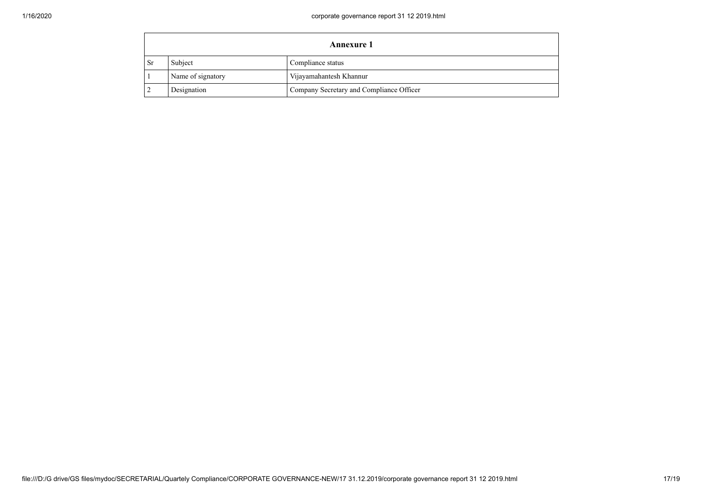|     | <b>Annexure 1</b> |                                          |  |
|-----|-------------------|------------------------------------------|--|
| -Sr | Subject           | Compliance status                        |  |
|     | Name of signatory | Vijayamahantesh Khannur                  |  |
|     | Designation       | Company Secretary and Compliance Officer |  |